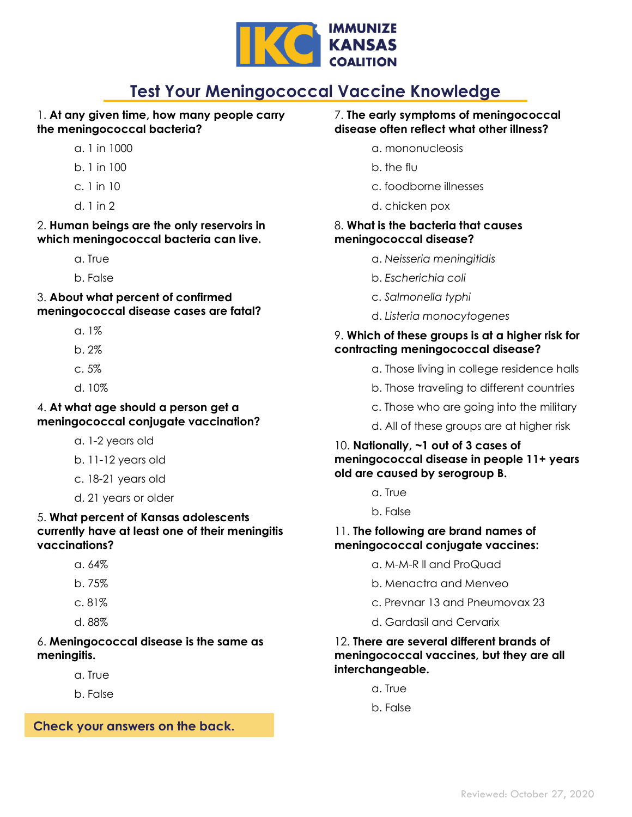

# **Test Your Meningococcal Vaccine Knowledge**

# 1. **At any given time, how many people carry the meningococcal bacteria?**

- a. 1 in 1000
- b. 1 in 100
- c. 1 in 10
- d. 1 in 2

#### 2. **Human beings are the only reservoirs in which meningococcal bacteria can live.**

- a. True
- b. False

3. **About what percent of confirmed meningococcal disease cases are fatal?**

- $a.1%$
- b. 2%
- c. 5%
- d. 10%

### 4. **At what age should a person get a meningococcal conjugate vaccination?**

- a. 1-2 years old
- b. 11-12 years old
- c. 18-21 years old
- d. 21 years or older

### 5. **What percent of Kansas adolescents currently have at least one of their meningitis vaccinations?**

- a. 64%
- b. 75%
- c. 81%
- d. 88%

# 6. **Meningococcal disease is the same as meningitis.**

- a. True
- b. False

**Check your answers on the back.**

#### 7. **The early symptoms of meningococcal disease often reflect what other illness?**

- a. mononucleosis
- b. the flu
- c. foodborne illnesses
- d. chicken pox

#### 8. **What is the bacteria that causes meningococcal disease?**

- a. *Neisseria meningitidis*
- b. *Escherichia coli*
- c. *Salmonella typhi*
- d. *Listeria monocytogenes*

# 9. **Which of these groups is at a higher risk for contracting meningococcal disease?**

- a. Those living in college residence halls
- b. Those traveling to different countries
- c. Those who are going into the military
- d. All of these groups are at higher risk

## 10. **Nationally, ~1 out of 3 cases of meningococcal disease in people 11+ years old are caused by serogroup B.**

- a. True
- b. False

### 11. **The following are brand names of meningococcal conjugate vaccines:**

- a. M-M-R ll and ProQuad
- b. Menactra and Menveo
- c. Prevnar 13 and Pneumovax 23
- d. Gardasil and Cervarix

### 12. **There are several different brands of meningococcal vaccines, but they are all interchangeable.**

- a. True
- b. False